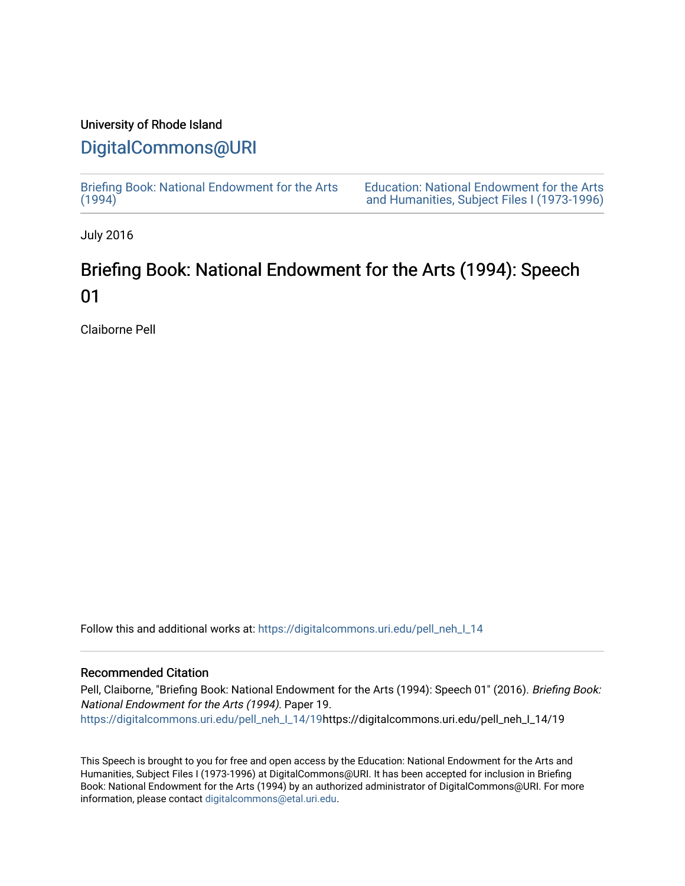### University of Rhode Island

## [DigitalCommons@URI](https://digitalcommons.uri.edu/)

[Briefing Book: National Endowment for the Arts](https://digitalcommons.uri.edu/pell_neh_I_14)  $(1994)$ 

[Education: National Endowment for the Arts](https://digitalcommons.uri.edu/pell_neh_I)  [and Humanities, Subject Files I \(1973-1996\)](https://digitalcommons.uri.edu/pell_neh_I) 

July 2016

# Briefing Book: National Endowment for the Arts (1994): Speech 01

Claiborne Pell

Follow this and additional works at: [https://digitalcommons.uri.edu/pell\\_neh\\_I\\_14](https://digitalcommons.uri.edu/pell_neh_I_14?utm_source=digitalcommons.uri.edu%2Fpell_neh_I_14%2F19&utm_medium=PDF&utm_campaign=PDFCoverPages) 

#### Recommended Citation

Pell, Claiborne, "Briefing Book: National Endowment for the Arts (1994): Speech 01" (2016). Briefing Book: National Endowment for the Arts (1994). Paper 19. [https://digitalcommons.uri.edu/pell\\_neh\\_I\\_14/19h](https://digitalcommons.uri.edu/pell_neh_I_14/19?utm_source=digitalcommons.uri.edu%2Fpell_neh_I_14%2F19&utm_medium=PDF&utm_campaign=PDFCoverPages)ttps://digitalcommons.uri.edu/pell\_neh\_I\_14/19

This Speech is brought to you for free and open access by the Education: National Endowment for the Arts and Humanities, Subject Files I (1973-1996) at DigitalCommons@URI. It has been accepted for inclusion in Briefing Book: National Endowment for the Arts (1994) by an authorized administrator of DigitalCommons@URI. For more information, please contact [digitalcommons@etal.uri.edu.](mailto:digitalcommons@etal.uri.edu)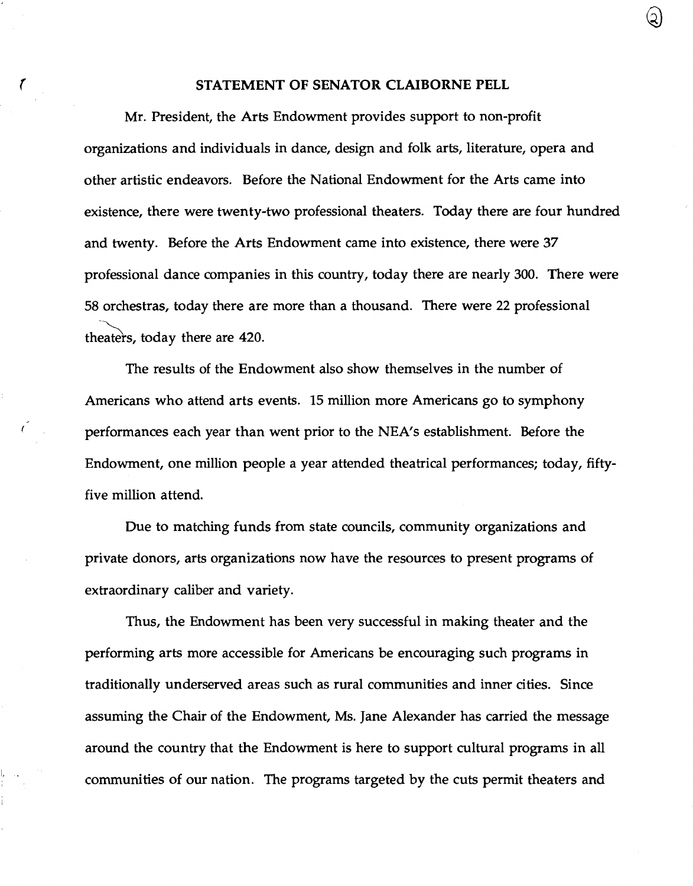### ( STATEMENT OF SENATOR CLAIBORNE PELL

Mr. President, the Arts Endowment provides support to non-profit organizations and individuals in dance, design and folk arts, literature, opera and other artistic endeavors. Before the National Endowment for the Arts came into existence, there were twenty-two professional theaters. Today there are four hundred and twenty. Before the Arts Endowment came into existence, there were 37 professional dance companies in this country, today there are nearly 300. There were 58 orchestras, today there are more than a thousand. There were 22 professional -~ theaters, today there are 420.

The results of the Endowment also show themselves in the number of Americans who attend arts events. 15 million more Americans go to symphony performances each year than went prior to the NEA's establishment. Before the Endowment, one million people a year attended theatrical performances; today, fiftyfive million attend.

Due to matching funds from state councils, community organizations and private donors, arts organizations now have the resources to present programs of extraordinary caliber and variety.

Thus, the Endowment has been very successful in making theater and the performing arts more accessible for Americans be encouraging such programs in traditionally underserved areas such as rural communities and inner cities. Since assuming the Chair of the Endowment, Ms. Jane Alexander has carried the message around the country that the Endowment is here to support cultural programs in all communities of our nation. The programs targeted by the cuts permit theaters and